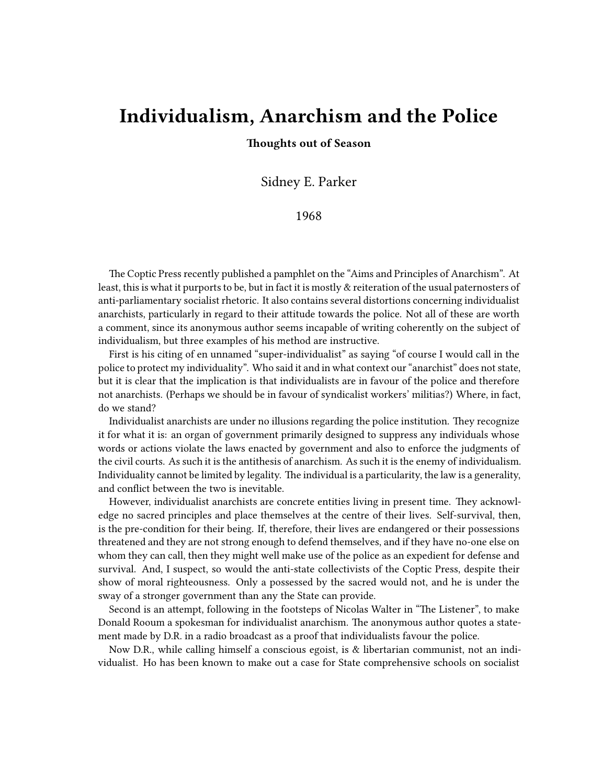## **Individualism, Anarchism and the Police**

## **Thoughts out of Season**

Sidney E. Parker

1968

The Coptic Press recently published a pamphlet on the "Aims and Principles of Anarchism". At least, this is what it purports to be, but in fact it is mostly & reiteration of the usual paternosters of anti-parliamentary socialist rhetoric. It also contains several distortions concerning individualist anarchists, particularly in regard to their attitude towards the police. Not all of these are worth a comment, since its anonymous author seems incapable of writing coherently on the subject of individualism, but three examples of his method are instructive.

First is his citing of en unnamed "super-individualist" as saying "of course I would call in the police to protect my individuality". Who said it and in what context our "anarchist" does not state, but it is clear that the implication is that individualists are in favour of the police and therefore not anarchists. (Perhaps we should be in favour of syndicalist workers' militias?) Where, in fact, do we stand?

Individualist anarchists are under no illusions regarding the police institution. They recognize it for what it is: an organ of government primarily designed to suppress any individuals whose words or actions violate the laws enacted by government and also to enforce the judgments of the civil courts. As such it is the antithesis of anarchism. As such it is the enemy of individualism. Individuality cannot be limited by legality. The individual is a particularity, the law is a generality, and conflict between the two is inevitable.

However, individualist anarchists are concrete entities living in present time. They acknowledge no sacred principles and place themselves at the centre of their lives. Self-survival, then, is the pre-condition for their being. If, therefore, their lives are endangered or their possessions threatened and they are not strong enough to defend themselves, and if they have no-one else on whom they can call, then they might well make use of the police as an expedient for defense and survival. And, I suspect, so would the anti-state collectivists of the Coptic Press, despite their show of moral righteousness. Only a possessed by the sacred would not, and he is under the sway of a stronger government than any the State can provide.

Second is an attempt, following in the footsteps of Nicolas Walter in "The Listener", to make Donald Rooum a spokesman for individualist anarchism. The anonymous author quotes a statement made by D.R. in a radio broadcast as a proof that individualists favour the police.

Now D.R., while calling himself a conscious egoist, is & libertarian communist, not an individualist. Ho has been known to make out a case for State comprehensive schools on socialist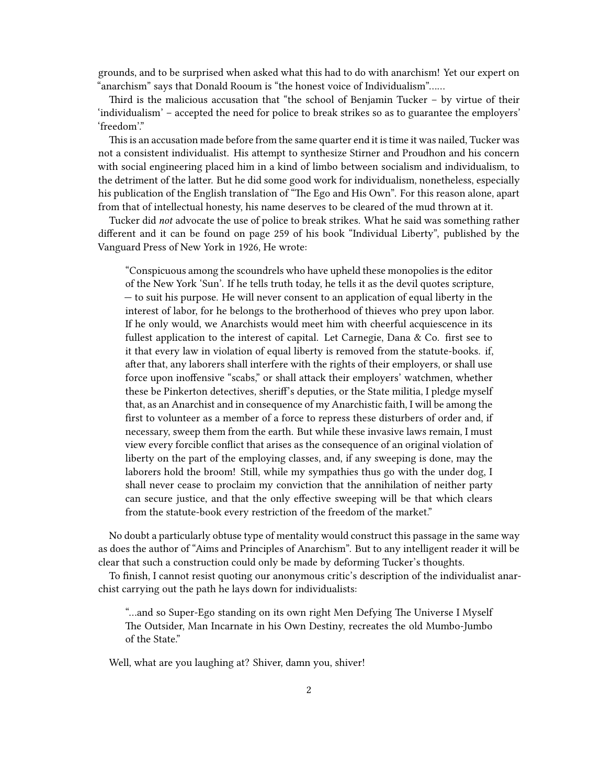grounds, and to be surprised when asked what this had to do with anarchism! Yet our expert on "anarchism" says that Donald Rooum is "the honest voice of Individualism"……

Third is the malicious accusation that "the school of Benjamin Tucker – by virtue of their 'individualism' – accepted the need for police to break strikes so as to guarantee the employers' 'freedom'."

This is an accusation made before from the same quarter end it is time it was nailed, Tucker was not a consistent individualist. His attempt to synthesize Stirner and Proudhon and his concern with social engineering placed him in a kind of limbo between socialism and individualism, to the detriment of the latter. But he did some good work for individualism, nonetheless, especially his publication of the English translation of "The Ego and His Own". For this reason alone, apart from that of intellectual honesty, his name deserves to be cleared of the mud thrown at it.

Tucker did *not* advocate the use of police to break strikes. What he said was something rather different and it can be found on page 259 of his book "Individual Liberty", published by the Vanguard Press of New York in 1926, He wrote:

"Conspicuous among the scoundrels who have upheld these monopolies is the editor of the New York 'Sun'. If he tells truth today, he tells it as the devil quotes scripture, — to suit his purpose. He will never consent to an application of equal liberty in the interest of labor, for he belongs to the brotherhood of thieves who prey upon labor. If he only would, we Anarchists would meet him with cheerful acquiescence in its fullest application to the interest of capital. Let Carnegie, Dana & Co. first see to it that every law in violation of equal liberty is removed from the statute-books. if, after that, any laborers shall interfere with the rights of their employers, or shall use force upon inoffensive "scabs," or shall attack their employers' watchmen, whether these be Pinkerton detectives, sherif's deputies, or the State militia, I pledge myself that, as an Anarchist and in consequence of my Anarchistic faith, I will be among the first to volunteer as a member of a force to repress these disturbers of order and, if necessary, sweep them from the earth. But while these invasive laws remain, I must view every forcible conflict that arises as the consequence of an original violation of liberty on the part of the employing classes, and, if any sweeping is done, may the laborers hold the broom! Still, while my sympathies thus go with the under dog, I shall never cease to proclaim my conviction that the annihilation of neither party can secure justice, and that the only effective sweeping will be that which clears from the statute-book every restriction of the freedom of the market."

No doubt a particularly obtuse type of mentality would construct this passage in the same way as does the author of "Aims and Principles of Anarchism". But to any intelligent reader it will be clear that such a construction could only be made by deforming Tucker's thoughts.

To finish, I cannot resist quoting our anonymous critic's description of the individualist anarchist carrying out the path he lays down for individualists:

"…and so Super-Ego standing on its own right Men Defying The Universe I Myself The Outsider, Man Incarnate in his Own Destiny, recreates the old Mumbo-Jumbo of the State."

Well, what are you laughing at? Shiver, damn you, shiver!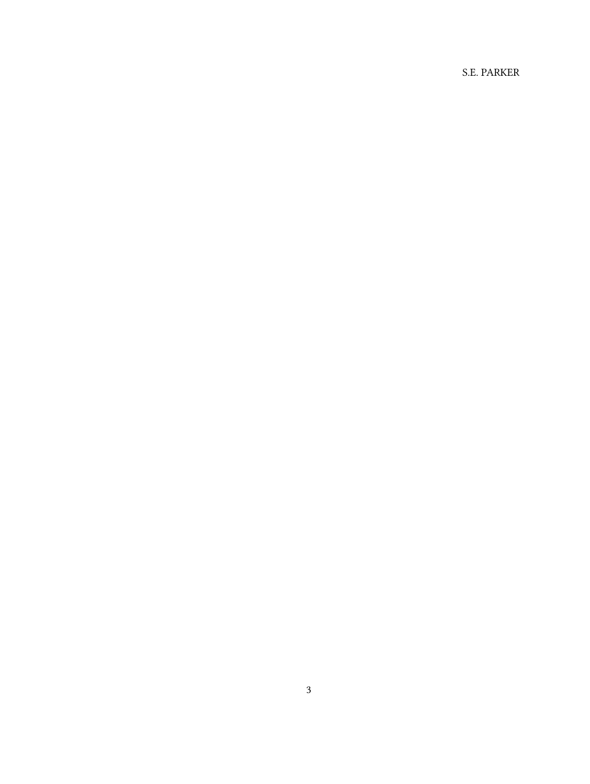S.E. PARKER